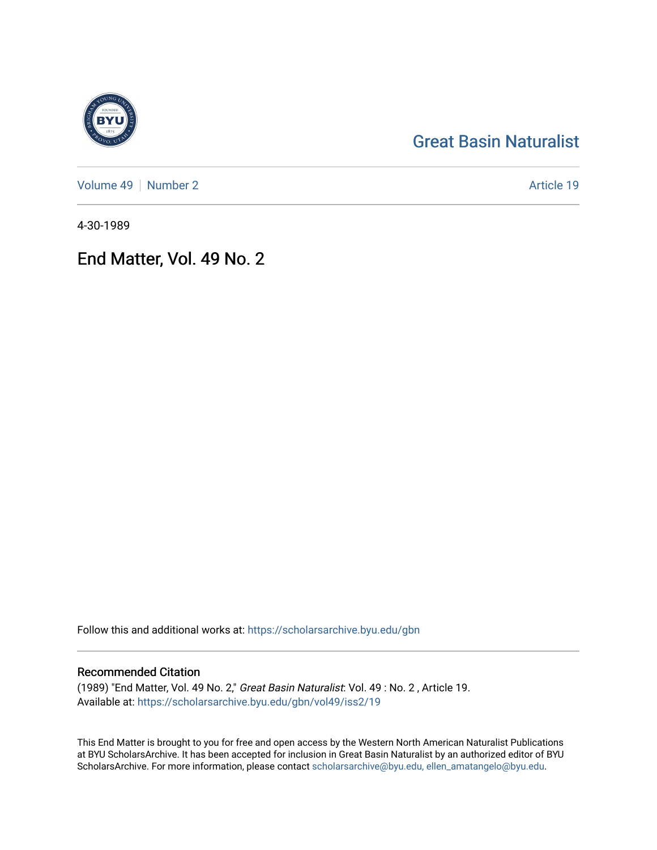# [Great Basin Naturalist](https://scholarsarchive.byu.edu/gbn)

[Volume 49](https://scholarsarchive.byu.edu/gbn/vol49) | [Number 2](https://scholarsarchive.byu.edu/gbn/vol49/iss2) Article 19

4-30-1989

## End Matter, Vol. 49 No. 2

Follow this and additional works at: [https://scholarsarchive.byu.edu/gbn](https://scholarsarchive.byu.edu/gbn?utm_source=scholarsarchive.byu.edu%2Fgbn%2Fvol49%2Fiss2%2F19&utm_medium=PDF&utm_campaign=PDFCoverPages) 

## Recommended Citation

(1989) "End Matter, Vol. 49 No. 2," Great Basin Naturalist: Vol. 49 : No. 2 , Article 19. Available at: [https://scholarsarchive.byu.edu/gbn/vol49/iss2/19](https://scholarsarchive.byu.edu/gbn/vol49/iss2/19?utm_source=scholarsarchive.byu.edu%2Fgbn%2Fvol49%2Fiss2%2F19&utm_medium=PDF&utm_campaign=PDFCoverPages) 

This End Matter is brought to you for free and open access by the Western North American Naturalist Publications at BYU ScholarsArchive. It has been accepted for inclusion in Great Basin Naturalist by an authorized editor of BYU ScholarsArchive. For more information, please contact [scholarsarchive@byu.edu, ellen\\_amatangelo@byu.edu.](mailto:scholarsarchive@byu.edu,%20ellen_amatangelo@byu.edu)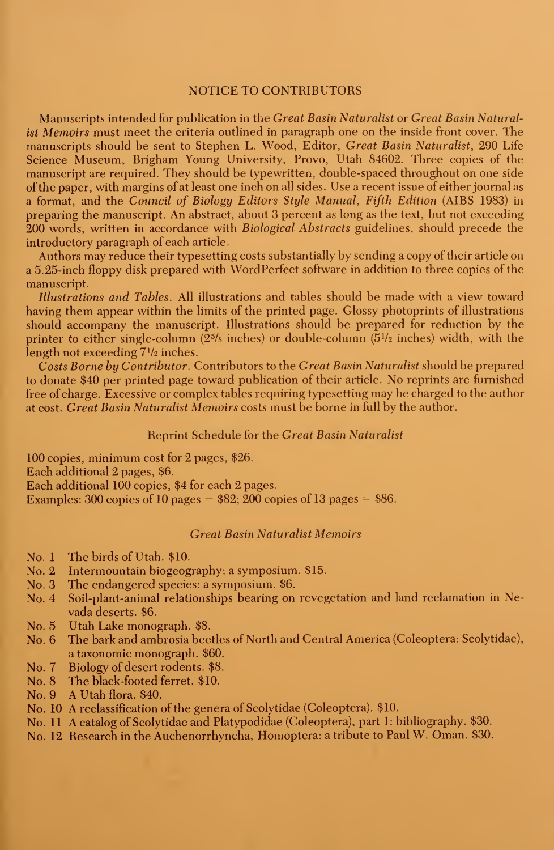#### NOTICE TO CONTRIBUTORS

Manuscripts intended for publication in the Great Basin Naturalist or Great Basin Naturalist Memoirs must meet the criteria outlined in paragraph one on the inside front cover. The manuscripts should be sent to Stephen L. Wood, Editor, Great Basin Naturalist, 290 Life Science Museum, Brigham Young University, Provo, Utah 84602. Three copies of the manuscript are required. They should be typewritten, double-spaced throughout on one side of the paper, with margins of at least one inch on all sides. Use a recent issue of either journal as <sup>a</sup> format, and the Council of Biology Editors Style Manual, Fifth Edition (AIBS 1983) in preparing the manuscript. An abstract, about 3 percent as long as the text, but not exceeding 200 words, written in accordance with *Biological Abstracts* guidelines, should precede the introductory paragraph of each article.

Authors may reduce their typesetting costs substantially by sending a copy of their article on a 5.25-inch floppy disk prepared with WordPerfect software in addition to three copies of the manuscript.

Illustrations and Tables. All illustrations and tables should be made with a view toward having them appear within the limits of the printed page. Glossy photoprints of illustrations should accompany the manuscript. Illustrations should be prepared for reduction by the printer to either single-column (25/8 inches) or double-column (5½ inches) width, with the  $\;$ length not exceeding  $7\frac{1}{2}$  inches.

Costs Borne by Contributor. Contributors to the Great Basin Naturalist should be prepared to donate \$40 per printed page toward publication of their article. No reprints are furnished free of charge. Excessive or complex tables requiring typesetting may be charged to the author at cost. Great Basin Naturalist Memoirs costs must be borne in full by the author.

#### Reprint Schedule for the Great Basin Naturalist

100 copies, minimum cost for 2 pages, \$26. Each additional 2 pages, \$6. Each additional 100 copies, \$4 for each 2 pages. Examples: 300 copies of 10 pages  $= $82; 200$  copies of 13 pages  $= $86$ .

## Great Basin Naturalist Memoirs

- No. <sup>1</sup> The birds of Utah. \$10.
- No. 2 Intermountain biogeography: a symposium. \$15.
- No. 3 The endangered species: a symposium. \$6.
- No. 4 Soil-plant-animal relationships bearing on revegetation and land reclamation in Nevada deserts. \$6.
- No. 5 Utah Lake monograph. \$8.
- No. 6 The bark and ambrosia beetles of North and Central America (Coleoptera: Scolytidae), a taxonomic monograph. \$60.
- No. 7 Biology of desert rodents. \$8.
- No. 8 The black-footed ferret. \$10.
- No. 9 A Utah flora. \$40.
- No. 10 A reclassification of the genera of Scolytidae (Coleoptera). \$10.
- No. <sup>11</sup> A catalog of Scolytidae and Platypodidae (Coleoptera), part 1: bibliography. \$30.
- No. 12 Research in the Auchenorrhyncha, Homoptera: <sup>a</sup> tribute to Paul W. Oman. \$30.